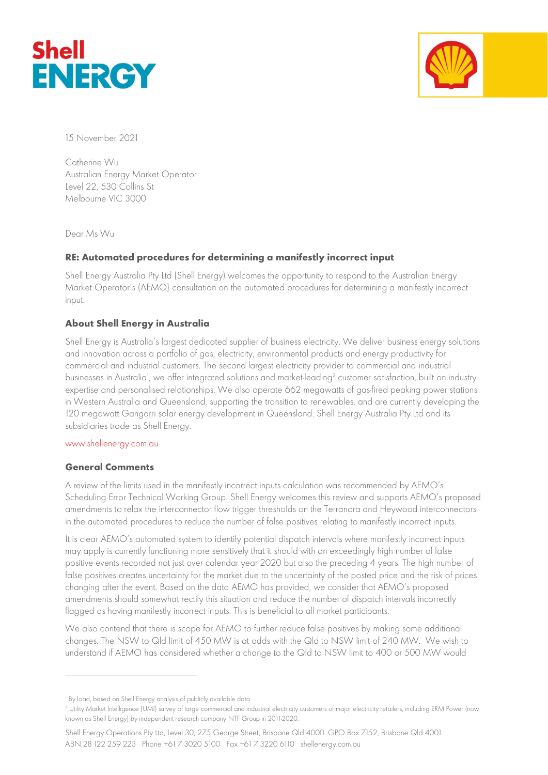



15 November 2021

Catherine Wu Australian Energy Market Operator Level 22, 530 Collins St Melbourne VIC 3000

Dear Ms Wu

## RE: Automated procedures for determining a manifestly incorrect input

Shell Energy Australia Pty Ltd (Shell Energy) welcomes the opportunity to respond to the Australian Energy Market Operator's (AEMO) consultation on the automated procedures for determining a manifestly incorrect input.

## About Shell Energy in Australia

Shell Energy is Australia's largest dedicated supplier of business electricity. We deliver business energy solutions and innovation across a portfolio of gas, electricity, environmental products and energy productivity for commercial and industrial customers. The second largest electricity provider to commercial and industrial businesses in Australia<sup>1</sup>, we offer integrated solutions and market-leading<sup>2</sup> customer satisfaction, built on industry expertise and personalised relationships. We also operate 662 megawatts of gas-fired peaking power stations in Western Australia and Queensland, supporting the transition to renewables, and are currently developing the 120 megawatt Gangarri solar energy development in Queensland. Shell Energy Australia Pty Ltd and its subsidiaries trade as Shell Energy.

## www.shellenergy.com.au

## General Comments

A review of the limits used in the manifestly incorrect inputs calculation was recommended by AEMO's Scheduling Error Technical Working Group. Shell Energy welcomes this review and supports AEMO's proposed amendments to relax the interconnector flow trigger thresholds on the Terranora and Heywood interconnectors in the automated procedures to reduce the number of false positives relating to manifestly incorrect inputs.

It is clear AEMO's automated system to identify potential dispatch intervals where manifestly incorrect inputs may apply is currently functioning more sensitively that it should with an exceedingly high number of false positive events recorded not just over calendar year 2020 but also the preceding 4 years. The high number of false positives creates uncertainty for the market due to the uncertainty of the posted price and the risk of prices changing after the event. Based on the data AEMO has provided, we consider that AEMO's proposed amendments should somewhat rectify this situation and reduce the number of dispatch intervals incorrectly flagged as having manifestly incorrect inputs. This is beneficial to all market participants.

We also contend that there is scope for AEMO to further reduce false positives by making some additional changes. The NSW to Qld limit of 450 MW is at odds with the Qld to NSW limit of 240 MW. We wish to understand if AEMO has considered whether a change to the Qld to NSW limit to 400 or 500 MW would

Shell Energy Operations Pty Ltd, Level 30, 275 George Street, Brisbane Qld 4000. GPO Box 7152, Brisbane Qld 4001. ABN 28 122 259 223 Phone +61 7 3020 5100 Fax +61 7 3220 6110 shellenergy.com.au

<sup>1</sup> By load, based on Shell Energy analysis of publicly available data

<sup>2</sup> Utility Market Intelligence (UMI) survey of large commercial and industrial electricity customers of major electricity retailers, including ERM Power (now known as Shell Energy) by independent research company NTF Group in 2011-2020.